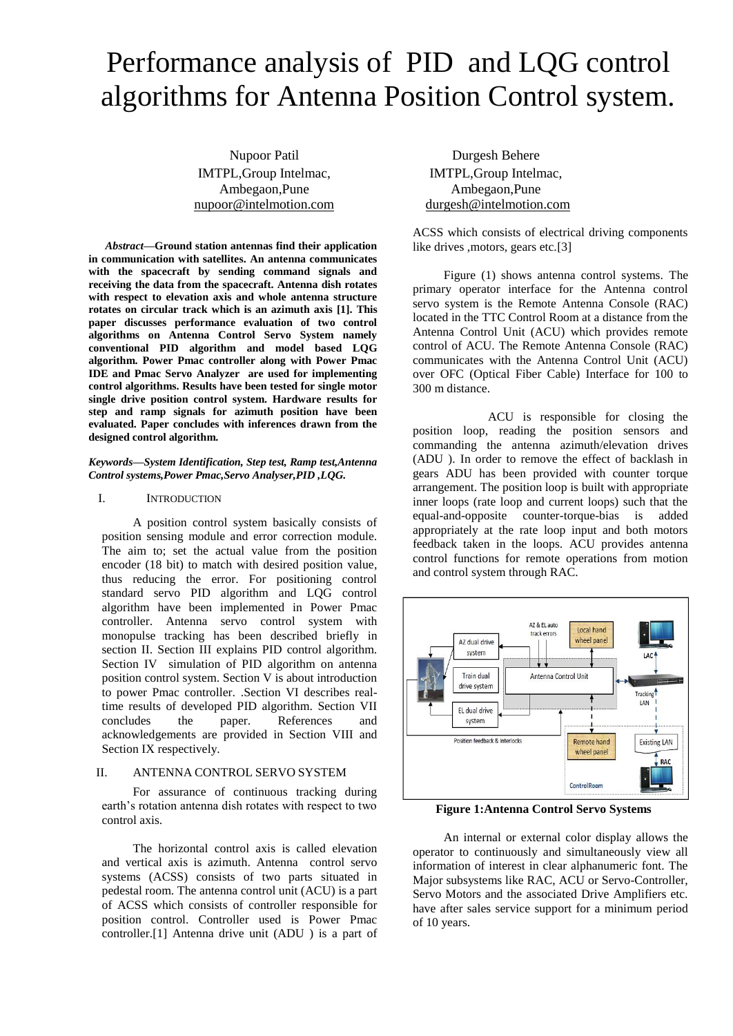# Performance analysis of PID and LQG control algorithms for Antenna Position Control system.

Nupoor Patil IMTPL,Group Intelmac, Ambegaon,Pune nupoor@intelmotion.com

*Abstract***—Ground station antennas find their application in communication with satellites. An antenna communicates with the spacecraft by sending command signals and receiving the data from the spacecraft. Antenna dish rotates with respect to elevation axis and whole antenna structure rotates on circular track which is an azimuth axis [1]. This paper discusses performance evaluation of two control algorithms on Antenna Control Servo System namely conventional PID algorithm and model based LQG algorithm. Power Pmac controller along with Power Pmac IDE and Pmac Servo Analyzer are used for implementing control algorithms. Results have been tested for single motor single drive position control system. Hardware results for step and ramp signals for azimuth position have been evaluated. Paper concludes with inferences drawn from the designed control algorithm.**

### *Keywords—System Identification, Step test, Ramp test,Antenna Control systems,Power Pmac,Servo Analyser,PID ,LQG.*

#### I. INTRODUCTION

A position control system basically consists of position sensing module and error correction module. The aim to; set the actual value from the position encoder (18 bit) to match with desired position value, thus reducing the error. For positioning control standard servo PID algorithm and LQG control algorithm have been implemented in Power Pmac controller. Antenna servo control system with monopulse tracking has been described briefly in section II. Section III explains PID control algorithm. Section IV simulation of PID algorithm on antenna position control system. Section V is about introduction to power Pmac controller. .Section VI describes realtime results of developed PID algorithm. Section VII concludes the paper. References and acknowledgements are provided in Section VIII and Section IX respectively.

# II. ANTENNA CONTROL SERVO SYSTEM

For assurance of continuous tracking during earth's rotation antenna dish rotates with respect to two control axis.

The horizontal control axis is called elevation and vertical axis is azimuth. Antenna control servo systems (ACSS) consists of two parts situated in pedestal room. The antenna control unit (ACU) is a part of ACSS which consists of controller responsible for position control. Controller used is Power Pmac controller.[1] Antenna drive unit (ADU ) is a part of

Durgesh Behere IMTPL,Group Intelmac, Ambegaon,Pune durgesh@intelmotion.com

ACSS which consists of electrical driving components like drives ,motors, gears etc.[3]

Figure (1) shows antenna control systems. The primary operator interface for the Antenna control servo system is the Remote Antenna Console (RAC) located in the TTC Control Room at a distance from the Antenna Control Unit (ACU) which provides remote control of ACU. The Remote Antenna Console (RAC) communicates with the Antenna Control Unit (ACU) over OFC (Optical Fiber Cable) Interface for 100 to 300 m distance.

ACU is responsible for closing the position loop, reading the position sensors and commanding the antenna azimuth/elevation drives (ADU ). In order to remove the effect of backlash in gears ADU has been provided with counter torque arrangement. The position loop is built with appropriate inner loops (rate loop and current loops) such that the equal-and-opposite counter-torque-bias is added appropriately at the rate loop input and both motors feedback taken in the loops. ACU provides antenna control functions for remote operations from motion and control system through RAC.



**Figure 1:Antenna Control Servo Systems**

An internal or external color display allows the operator to continuously and simultaneously view all information of interest in clear alphanumeric font. The Major subsystems like RAC, ACU or Servo-Controller, Servo Motors and the associated Drive Amplifiers etc. have after sales service support for a minimum period of 10 years.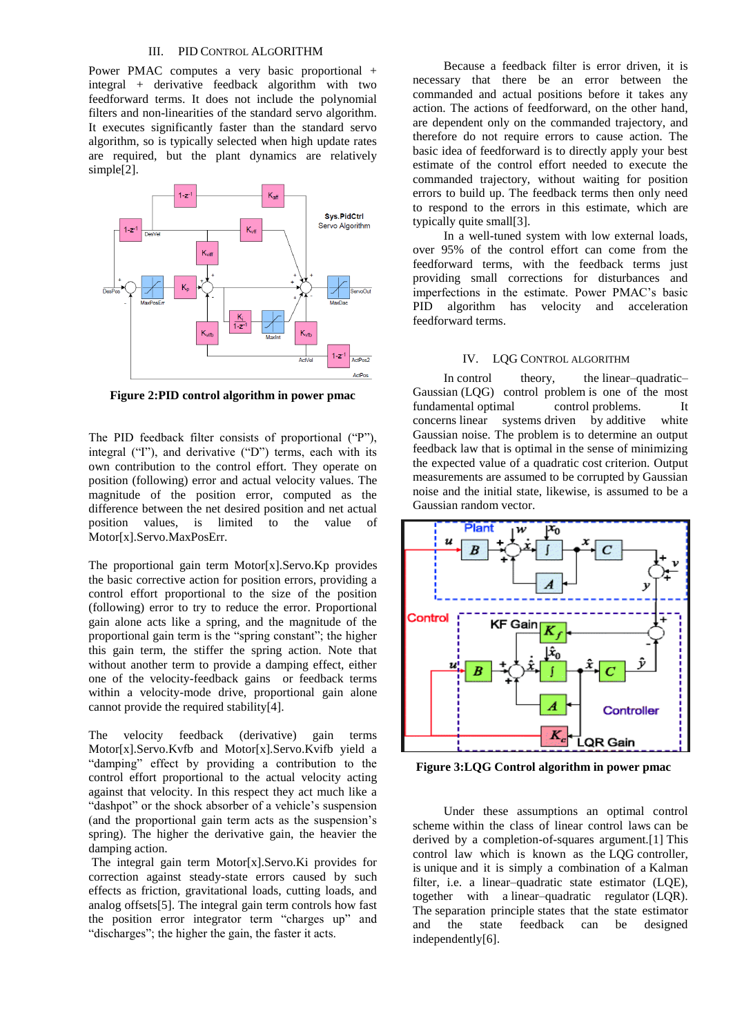## III. PID CONTROL ALGORITHM

Power PMAC computes a very basic proportional + integral + derivative feedback algorithm with two feedforward terms. It does not include the polynomial filters and non-linearities of the standard servo algorithm. It executes significantly faster than the standard servo algorithm, so is typically selected when high update rates are required, but the plant dynamics are relatively simple<sup>[2]</sup>.



**Figure 2:PID control algorithm in power pmac**

The PID feedback filter consists of proportional ("P"), integral ("I"), and derivative ("D") terms, each with its own contribution to the control effort. They operate on position (following) error and actual velocity values. The magnitude of the position error, computed as the difference between the net desired position and net actual position values, is limited to the value of Motor[x].Servo.MaxPosErr.

The proportional gain term Motor[x].Servo.Kp provides the basic corrective action for position errors, providing a control effort proportional to the size of the position (following) error to try to reduce the error. Proportional gain alone acts like a spring, and the magnitude of the proportional gain term is the "spring constant"; the higher this gain term, the stiffer the spring action. Note that without another term to provide a damping effect, either one of the velocity-feedback gains or feedback terms within a velocity-mode drive, proportional gain alone cannot provide the required stability[4].

The velocity feedback (derivative) gain terms Motor[x].Servo.Kvfb and Motor[x].Servo.Kvifb yield a "damping" effect by providing a contribution to the control effort proportional to the actual velocity acting against that velocity. In this respect they act much like a "dashpot" or the shock absorber of a vehicle's suspension (and the proportional gain term acts as the suspension's spring). The higher the derivative gain, the heavier the damping action.

The integral gain term Motor[x].Servo.Ki provides for correction against steady-state errors caused by such effects as friction, gravitational loads, cutting loads, and analog offsets[5]. The integral gain term controls how fast the position error integrator term "charges up" and "discharges"; the higher the gain, the faster it acts.

Because a feedback filter is error driven, it is necessary that there be an error between the commanded and actual positions before it takes any action. The actions of feedforward, on the other hand, are dependent only on the commanded trajectory, and therefore do not require errors to cause action. The basic idea of feedforward is to directly apply your best estimate of the control effort needed to execute the commanded trajectory, without waiting for position errors to build up. The feedback terms then only need to respond to the errors in this estimate, which are typically quite small[3].

In a well-tuned system with low external loads, over 95% of the control effort can come from the feedforward terms, with the feedback terms just providing small corrections for disturbances and imperfections in the estimate. Power PMAC's basic PID algorithm has velocity and acceleration feedforward terms.

# IV. LQG CONTROL ALGORITHM

In [control theory,](https://en.wikipedia.org/wiki/Control_theory) the linear–quadratic– Gaussian (LQG) control problem is one of the most fundamental [optimal control](https://en.wikipedia.org/wiki/Optimal_control) problems. It concerns [linear systems](https://en.wikipedia.org/wiki/Linear_system) driven by [additive white](https://en.wikipedia.org/wiki/Additive_white_Gaussian_noise)  [Gaussian noise.](https://en.wikipedia.org/wiki/Additive_white_Gaussian_noise) The problem is to determine an output feedback law that is optimal in the sense of minimizing the expected value of a quadratic [cost](https://en.wikipedia.org/wiki/Cost_functional) criterion. Output measurements are assumed to be corrupted by Gaussian noise and the initial state, likewise, is assumed to be a Gaussian random vector.



**Figure 3:LQG Control algorithm in power pmac**

Under these assumptions an optimal control scheme within the class of linear control laws can be derived by a completion-of-squares argument[.\[1\]](https://en.wikipedia.org/wiki/Linear%E2%80%93quadratic%E2%80%93Gaussian_control#cite_note-astrom-1) This control law which is known as the LQG controller, is unique and it is simply a combination of a [Kalman](https://en.wikipedia.org/wiki/Kalman_filter)  [filter,](https://en.wikipedia.org/wiki/Kalman_filter) i.e. a linear–quadratic state estimator (LQE), together with a [linear–quadratic regulator](https://en.wikipedia.org/wiki/Linear-quadratic_regulator) (LQR). The [separation principle](https://en.wikipedia.org/wiki/Separation_principle) states that the state estimator and the state feedback can be designed independently[6].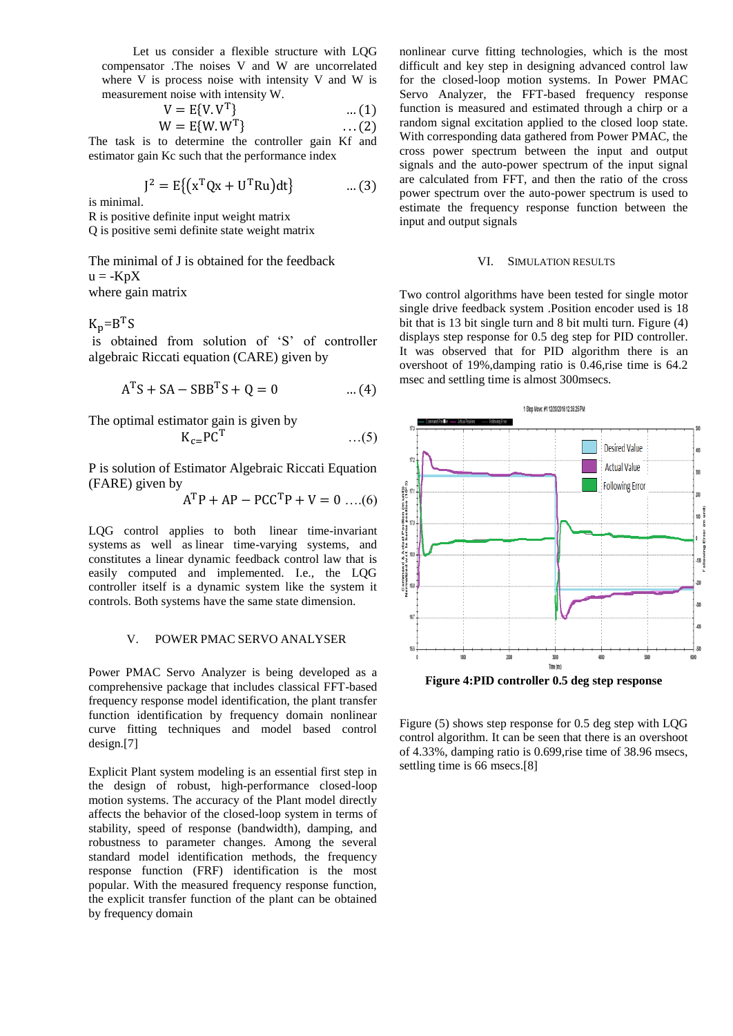Let us consider a flexible structure with LQG compensator .The noises V and W are uncorrelated where V is process noise with intensity V and W is measurement noise with intensity W.

$$
V = E{V.V}^T
$$
 ... (1)  
M = E{W.W}^T (2)

$$
W = E\{W.W^T\} \qquad \qquad \dots (2)
$$

The task is to determine the controller gain Kf and estimator gain Kc such that the performance index

$$
J^{2} = E\{ (x^{T}Qx + U^{T}Ru)dt \}
$$
 ... (3)

is minimal.

R is positive definite input weight matrix

Q is positive semi definite state weight matrix

The minimal of J is obtained for the feedback  $u = -KpX$ where gain matrix

 $K_p = B<sup>T</sup>S$ 

is obtained from solution of 'S' of controller algebraic Riccati equation (CARE) given by

$$
ATS + SA - SBBTS + Q = 0
$$
 ... (4)

The optimal estimator gain is given by

$$
K_{c=}PC^{T} \qquad \qquad \ldots (5)
$$

P is solution of Estimator Algebraic Riccati Equation (FARE) given by

$$
A^{T}P + AP - PCC^{T}P + V = 0 \dots (6)
$$

LQG control applies to both [linear time-invariant](https://en.wikipedia.org/wiki/LTI_systems)  [systems](https://en.wikipedia.org/wiki/LTI_systems) as well as [linear time-varying systems,](https://en.wikipedia.org/wiki/Time-variant_system) and constitutes a linear dynamic feedback control law that is easily computed and implemented. I.e., the LQG controller itself is a dynamic system like the system it controls. Both systems have the same state dimension.

# V. POWER PMAC SERVO ANALYSER

Power PMAC Servo Analyzer is being developed as a comprehensive package that includes classical FFT-based frequency response model identification, the plant transfer function identification by frequency domain nonlinear curve fitting techniques and model based control design.[7]

Explicit Plant system modeling is an essential first step in the design of robust, high-performance closed-loop motion systems. The accuracy of the Plant model directly affects the behavior of the closed-loop system in terms of stability, speed of response (bandwidth), damping, and robustness to parameter changes. Among the several standard model identification methods, the frequency response function (FRF) identification is the most popular. With the measured frequency response function, the explicit transfer function of the plant can be obtained by frequency domain

nonlinear curve fitting technologies, which is the most difficult and key step in designing advanced control law for the closed-loop motion systems. In Power PMAC Servo Analyzer, the FFT-based frequency response function is measured and estimated through a chirp or a random signal excitation applied to the closed loop state. With corresponding data gathered from Power PMAC, the cross power spectrum between the input and output signals and the auto-power spectrum of the input signal are calculated from FFT, and then the ratio of the cross power spectrum over the auto-power spectrum is used to estimate the frequency response function between the input and output signals

#### VI. SIMULATION RESULTS

Two control algorithms have been tested for single motor single drive feedback system .Position encoder used is 18 bit that is 13 bit single turn and 8 bit multi turn. Figure (4) displays step response for 0.5 deg step for PID controller. It was observed that for PID algorithm there is an overshoot of 19%,damping ratio is 0.46,rise time is 64.2 msec and settling time is almost 300msecs.



Figure (5) shows step response for 0.5 deg step with LQG control algorithm. It can be seen that there is an overshoot of 4.33%, damping ratio is 0.699,rise time of 38.96 msecs, settling time is 66 msecs.[8]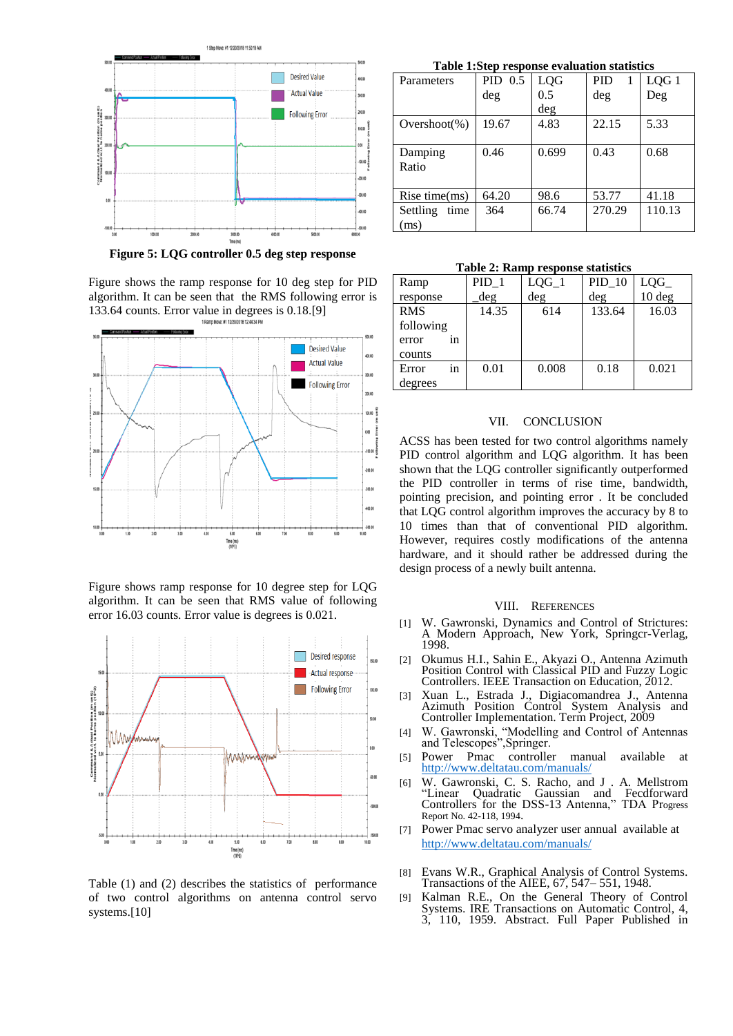

**Figure 5: LQG controller 0.5 deg step response**

Figure shows the ramp response for 10 deg step for PID algorithm. It can be seen that the RMS following error is 133.64 counts. Error value in degrees is 0.18.[9]



Figure shows ramp response for 10 degree step for LQG algorithm. It can be seen that RMS value of following error 16.03 counts. Error value is degrees is 0.021.



Table (1) and (2) describes the statistics of performance of two control algorithms on antenna control servo systems.<sup>[10]</sup>

**Table 1:Step response evaluation statistics**

| Parameters       | $PID$ 0.5 | LQG   | <b>PID</b> | LQG 1  |
|------------------|-----------|-------|------------|--------|
|                  | deg       | 0.5   | deg        | Deg    |
|                  |           | deg   |            |        |
| $Overshoot(\%)$  | 19.67     | 4.83  | 22.15      | 5.33   |
|                  |           |       |            |        |
| Damping          | 0.46      | 0.699 | 0.43       | 0.68   |
| Ratio            |           |       |            |        |
|                  |           |       |            |        |
| Rise time $(ms)$ | 64.20     | 98.6  | 53.77      | 41.18  |
| Settling<br>time | 364       | 66.74 | 270.29     | 110.13 |
| ms)              |           |       |            |        |

**Table 2: Ramp response statistics**

| Ramp       |    | PID <sub>1</sub> | $LQG_1$ | $PID_10$ | LQG              |
|------------|----|------------------|---------|----------|------------------|
| response   |    | deg              | deg     | deg      | $10 \text{ deg}$ |
| <b>RMS</b> |    | 14.35            | 614     | 133.64   | 16.03            |
| following  |    |                  |         |          |                  |
| error      | 1n |                  |         |          |                  |
| counts     |    |                  |         |          |                  |
| Error      | 1n | 0.01             | 0.008   | 0.18     | 0.021            |
| degrees    |    |                  |         |          |                  |

#### VII. CONCLUSION

ACSS has been tested for two control algorithms namely PID control algorithm and LQG algorithm. It has been shown that the LQG controller significantly outperformed the PID controller in terms of rise time, bandwidth, pointing precision, and pointing error . It be concluded that LQG control algorithm improves the accuracy by 8 to 10 times than that of conventional PID algorithm. However, requires costly modifications of the antenna hardware, and it should rather be addressed during the design process of a newly built antenna.

#### VIII. REFERENCES

- [1] W. Gawronski, Dynamics and Control of Strictures: A Modern Approach, New York, Springcr-Verlag, 1998.
- [2] Okumus H.I., Sahin E., Akyazi O., Antenna Azimuth Position Control with Classical PID and Fuzzy Logic Controllers. IEEE Transaction on Education, 2012.
- [3] Xuan L., Estrada J., Digiacomandrea J., Antenna Azimuth Position Control System Analysis and Controller Implementation. Term Project, 2009
- [4] W. Gawronski, "Modelling and Control of Antennas and Telescopes",Springer.
- [5] Power Pmac controller manual available at
- <http://www.deltatau.com/manuals/><br>W. Gawronski, C. S. Racho, and J<br>"Linear Quadratic Gaussian and [6] W. Gawronski, C. S. Racho, and J . A. Mellstrom "Linear Quadratic Gaussian and Fecdforward Controllers for the DSS-13 Antenna," TDA Progress Report No. 42-118, 1994.
- [7] Power Pmac servo analyzer user annual available at <http://www.deltatau.com/manuals/>
- [8] Evans W.R., Graphical Analysis of Control Systems. Transactions of the AIEE, 67, 547– 551, 1948.
- [9] Kalman R.E., On the General Theory of Control Systems. IRE Transactions on Automatic Control, 4, 3, 110, 1959. Abstract. Full Paper Published in